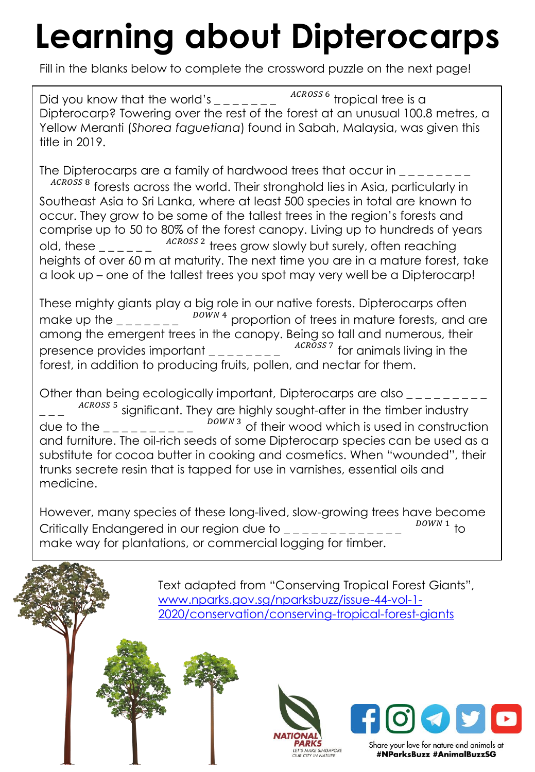## **Learning about Dipterocarps**

Fill in the blanks below to complete the crossword puzzle on the next page!

Did you know that the world's  $\frac{1}{2}$   $\frac{1}{2}$   $\frac{1}{2}$   $\frac{1}{2}$   $\frac{1}{2}$   $\frac{1}{2}$   $\frac{1}{2}$   $\frac{1}{2}$   $\frac{1}{2}$   $\frac{1}{2}$   $\frac{1}{2}$   $\frac{1}{2}$   $\frac{1}{2}$   $\frac{1}{2}$   $\frac{1}{2}$   $\frac{1}{2}$   $\frac{1}{2}$   $\frac{1}{2}$   $\frac{1}{2}$  Dipterocarp? Towering over the rest of the forest at an unusual 100.8 metres, a Yellow Meranti (*Shorea faguetiana*) found in Sabah, Malaysia, was given this title in 2019.

The Dipterocarps are a family of hardwood trees that occur in  $\sim$ 

<sup>ACROSS 8</sup> forests across the world. Their stronghold lies in Asia, particularly in Southeast Asia to Sri Lanka, where at least 500 species in total are known to occur. They grow to be some of the tallest trees in the region's forests and comprise up to 50 to 80% of the forest canopy. Living up to hundreds of years old, these  $\frac{1}{2}$   $\frac{1}{2}$   $\frac{1}{2}$   $\frac{1}{2}$ ACROSS 2 trees grow slowly but surely, often reaching heights of over 60 m at maturity. The next time you are in a mature forest, take a look up – one of the tallest trees you spot may very well be a Dipterocarp!

These mighty giants play a big role in our native forests. Dipterocarps often make up the  $\mu_{\text{max}} = 100$   $\mu$   $\mu$  arroportion of trees in mature forests, and are among the emergent trees in the canopy. Being so tall and numerous, their presence provides important  $\frac{1}{2}$   $\frac{1}{2}$   $\frac{1}{2}$   $\frac{1}{2}$   $\frac{1}{2}$  for animals living in the forest, in addition to producing fruits, pollen, and nectar for them.

Other than being ecologically important, Dipterocarps are also \_\_\_\_\_\_\_\_\_  $=-$ ACROSS 5 significant. They are highly sought-after in the timber industry due to the  $\frac{1}{2}$   $\frac{1}{2}$   $\frac{1}{2}$  $\overline{D}$   $\overline{D}$  of their wood which is used in construction and furniture. The oil-rich seeds of some Dipterocarp species can be used as a substitute for cocoa butter in cooking and cosmetics. When "wounded", their trunks secrete resin that is tapped for use in varnishes, essential oils and medicine.

However, many species of these long-lived, slow-growing trees have become Critically Endangered in our region due to \_\_\_\_\_\_\_\_\_\_\_  $\sum_{D\text{OWN 1}}$ <sub>to</sub> make way for plantations, or commercial logging for timber.

> Text adapted from "Conserving Tropical Forest Giants", www.nparks.gov.sg/nparksbuzz/issue-44-vol-1- [2020/conservation/conserving-tropical-forest-giants](http://www.nparks.gov.sg/nparksbuzz/issue-44-vol-1-2020/conservation/conserving-tropical-forest-giants)





#NParksBuzz #AnimalBuzzSG